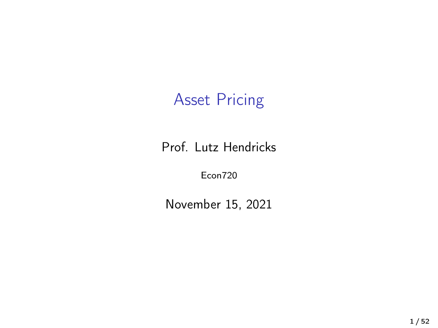# Asset Pricing

Prof. Lutz Hendricks

Econ720

November 15, 2021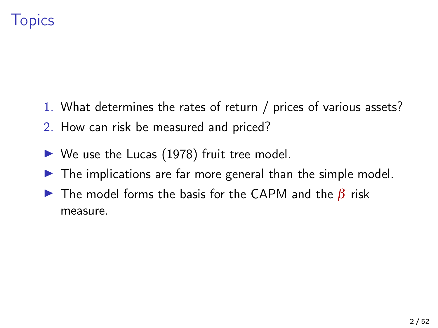# **Topics**

- 1. What determines the rates of return / prices of various assets?
- 2. How can risk be measured and priced?
- $\triangleright$  We use the [Lucas \(1978\)](#page-51-0) fruit tree model.
- $\triangleright$  The implications are far more general than the simple model.
- $\triangleright$  The model forms the basis for the CAPM and the  $\beta$  risk measure.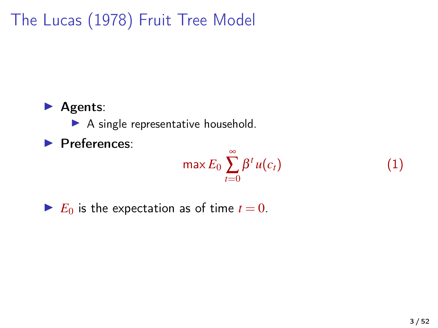# The [Lucas \(1978\)](#page-51-0) Fruit Tree Model

#### $\blacktriangleright$  Agents:

 $\blacktriangleright$  A single representative household.

 $\blacktriangleright$  Preferences:

$$
\max E_0 \sum_{t=0}^{\infty} \beta^t u(c_t)
$$

 $\blacktriangleright$  *E*<sub>0</sub> is the expectation as of time  $t = 0$ .

*u*(*ct*) (1)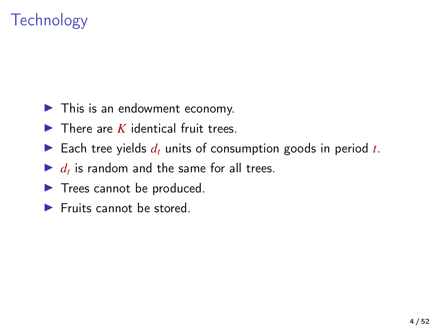# **Technology**

- $\blacktriangleright$  This is an endowment economy.
- $\blacktriangleright$  There are *K* identical fruit trees.
- Each tree yields  $d_t$  units of consumption goods in period  $t$ .
- $\blacktriangleright$   $d_t$  is random and the same for all trees.
- $\blacktriangleright$  Trees cannot be produced.
- $\blacktriangleright$  Fruits cannot be stored.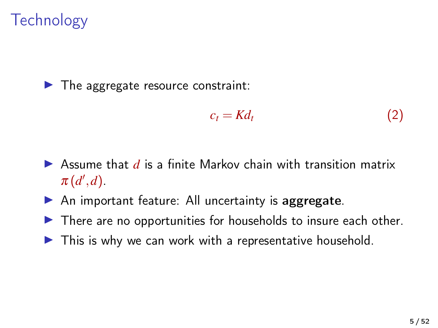# **Technology**

 $\blacktriangleright$  The aggregate resource constraint:

$$
c_t = K d_t \tag{2}
$$

- $\triangleright$  Assume that  $d$  is a finite Markov chain with transition matrix  $\pi(d',d)$ .
- $\triangleright$  An important feature: All uncertainty is aggregate.
- $\triangleright$  There are no opportunities for households to insure each other.
- $\blacktriangleright$  This is why we can work with a representative household.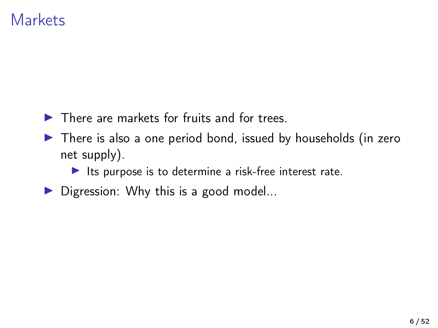### **Markets**

- $\blacktriangleright$  There are markets for fruits and for trees.
- $\blacktriangleright$  There is also a one period bond, issued by households (in zero net supply).
	- $\blacktriangleright$  Its purpose is to determine a risk-free interest rate.
- $\triangleright$  Digression: Why this is a good model...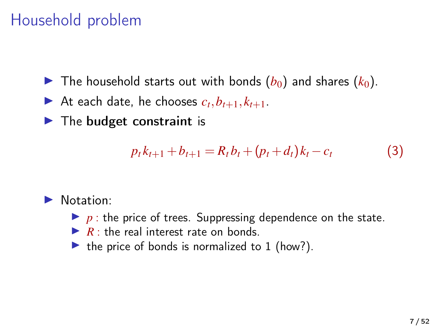# Household problem

- If The household starts out with bonds  $(b_0)$  and shares  $(k_0)$ .
- If At each date, he chooses  $c_t$ ,  $b_{t+1}$ ,  $k_{t+1}$ .
- $\blacktriangleright$  The budget constraint is

$$
p_t k_{t+1} + b_{t+1} = R_t b_t + (p_t + d_t) k_t - c_t \tag{3}
$$

#### $\blacktriangleright$  Notation:

- $\blacktriangleright$  p : the price of trees. Suppressing dependence on the state.
- $\triangleright$  *R* : the real interest rate on bonds.
- $\triangleright$  the price of bonds is normalized to 1 (how?).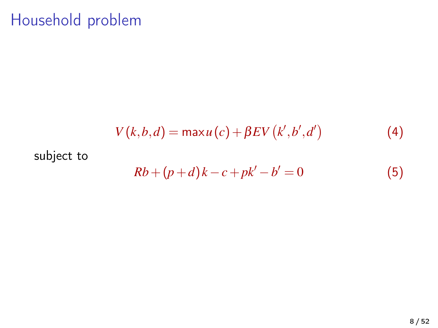# Household problem

$$
V(k,b,d) = \max u(c) + \beta EV(k',b',d')
$$
 (4)

#### subject to

$$
Rb + (p+d)k - c + pk' - b' = 0
$$
 (5)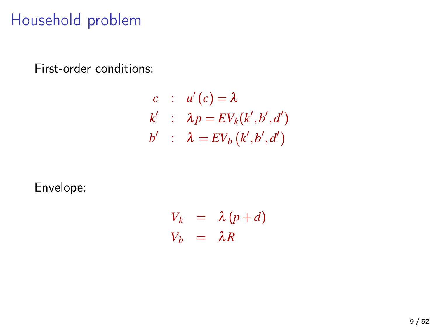# Household problem

First-order conditions:

$$
c : u'(c) = \lambda
$$
  
\n
$$
k' : \lambda p = EV_k(k',b',d')
$$
  
\n
$$
b' : \lambda = EV_b(k',b',d')
$$

Envelope:

$$
V_k = \lambda (p+d) V_b = \lambda R
$$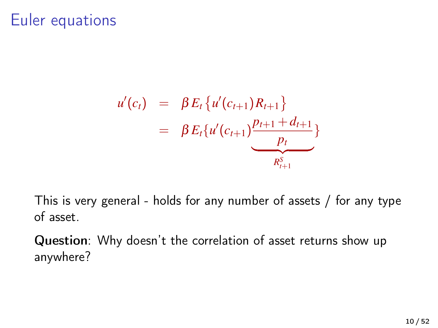#### Euler equations

$$
u'(c_t) = \beta E_t \{u'(c_{t+1})R_{t+1}\}\
$$
  
=  $\beta E_t \{u'(c_{t+1})\frac{p_{t+1}+d_{t+1}}{p_t}\}\$ 

This is very general - holds for any number of assets / for any type of asset.

Question: Why doesn't the correlation of asset returns show up anywhere?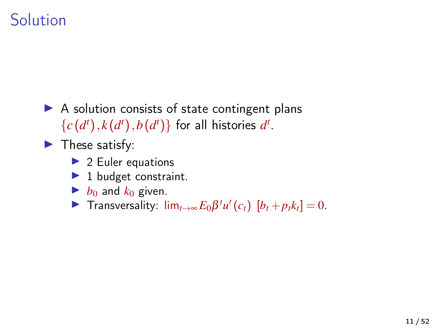## **Solution**

 $\triangleright$  A solution consists of state contingent plans  ${c(d<sup>t</sup>), k(d<sup>t</sup>), b(d<sup>t</sup>)}$  for all histories  $d<sup>t</sup>$ .

 $\blacktriangleright$  These satisfy:

- $\blacktriangleright$  2 Euler equations
- $\blacktriangleright$  1 budget constraint.
- $\blacktriangleright$  *b*<sub>0</sub> and *k*<sub>0</sub> given.

 $\blacktriangleright$  Transversality:  $\lim_{t\to\infty} E_0\beta^t u'(c_t)$  [*b*<sub>*t*</sub> + *p*<sub>*t*</sub>*k*<sub>*t*</sub>] = 0.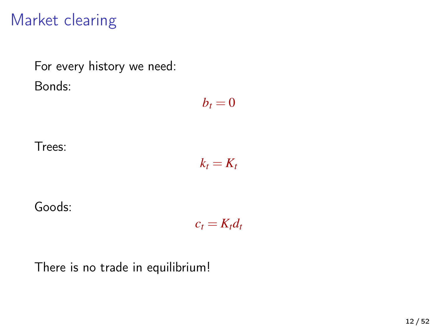## Market clearing

For every history we need: Bonds:

 $b_t = 0$ 

Trees:

$$
k_t=K_t
$$

Goods:

 $c_t = K_t d_t$ 

There is no trade in equilibrium!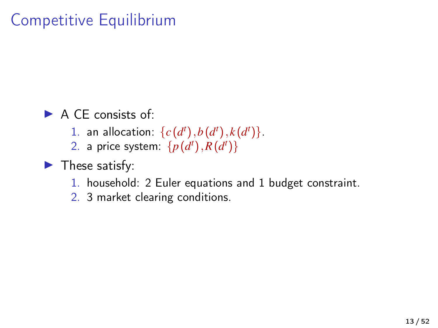# Competitive Equilibrium

 $\blacktriangleright$  A CE consists of  $\blacktriangleright$ 

- 1. an allocation:  $\{c(d^t), b(d^t), k(d^t)\}.$
- 2. a price system:  $\{p(d^t), R(d^t)\}$

#### $\blacktriangleright$  These satisfy:

- 1. household: 2 Euler equations and 1 budget constraint.
- 2. 3 market clearing conditions.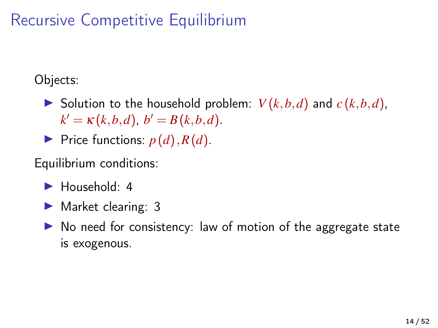# Recursive Competitive Equilibrium

Objects:

- $\triangleright$  Solution to the household problem:  $V(k, b, d)$  and  $c(k, b, d)$ ,  $k' = \kappa(k, b, d), b' = B(k, b, d).$
- $\blacktriangleright$  Price functions:  $p(d)$ ,  $R(d)$ .

Equilibrium conditions:

- $\blacktriangleright$  Household: 4
- $\blacktriangleright$  Market clearing: 3
- $\triangleright$  No need for consistency: law of motion of the aggregate state is exogenous.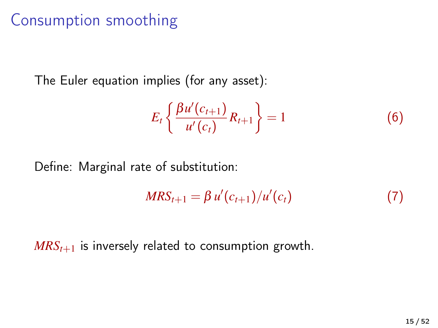# Consumption smoothing

The Euler equation implies (for any asset):

$$
E_t\left\{\frac{\beta u'(c_{t+1})}{u'(c_t)}R_{t+1}\right\} = 1
$$
 (6)

Define: Marginal rate of substitution:

$$
MRS_{t+1} = \beta u'(c_{t+1})/u'(c_t)
$$
 (7)

 $MRS<sub>t+1</sub>$  is inversely related to consumption growth.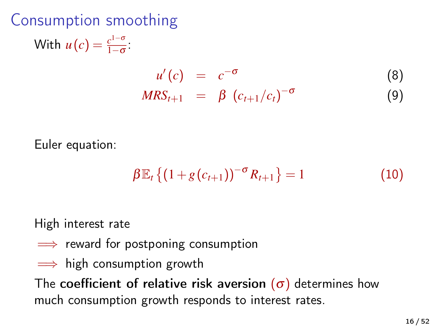Consumption smoothing With  $u(c) = \frac{c^{1-\sigma}}{1-\sigma}$  $\frac{c^{2}}{1-\sigma}$ :  $u'(c) = c^{-\sigma}$ (8) *MRS*<sub>*t*+1</sub> = β ( $c$ <sub>*t*+1</sub>/ $c$ <sub>*t*</sub>)<sup>-σ</sup> (9)

$$
m\omega_{t+1} = \rho \left( c_{t+1}/c_t \right)
$$

Euler equation:

$$
\beta \mathbb{E}_{t} \left\{ \left( 1 + g(c_{t+1}) \right)^{-\sigma} R_{t+1} \right\} = 1 \tag{10}
$$

High interest rate

- $\implies$  reward for postponing consumption
- $\implies$  high consumption growth

The coefficient of relative risk aversion  $(\sigma)$  determines how much consumption growth responds to interest rates.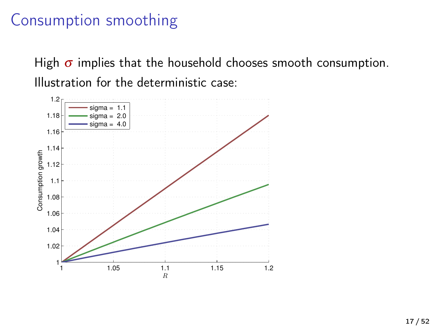### Consumption smoothing

High  $\sigma$  implies that the household chooses smooth consumption. Illustration for the deterministic case:

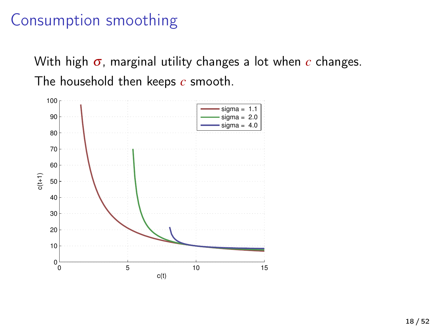#### Consumption smoothing

With high σ, marginal utility changes a lot when *c* changes. The household then keeps *c* smooth.

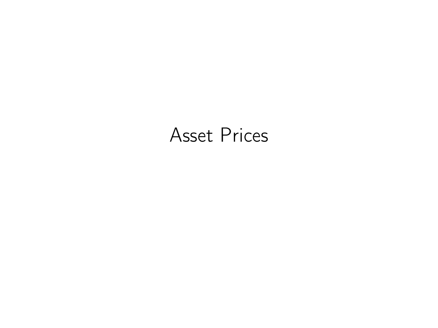# Asset Prices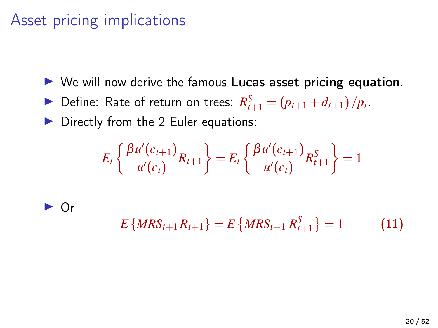# Asset pricing implications

 $\triangleright$  We will now derive the famous Lucas asset pricing equation.

▶ Define: Rate of return on trees:  $R_{t+1}^S = (p_{t+1} + d_{t+1})/p_t$ .

 $\triangleright$  Directly from the 2 Euler equations:

$$
E_t\left\{\frac{\beta u'(c_{t+1})}{u'(c_t)}R_{t+1}\right\} = E_t\left\{\frac{\beta u'(c_{t+1})}{u'(c_t)}R_{t+1}^S\right\} = 1
$$

 $\blacktriangleright$  Or

$$
E\{MRS_{t+1}R_{t+1}\} = E\{MRS_{t+1}R_{t+1}^{S}\} = 1
$$
 (11)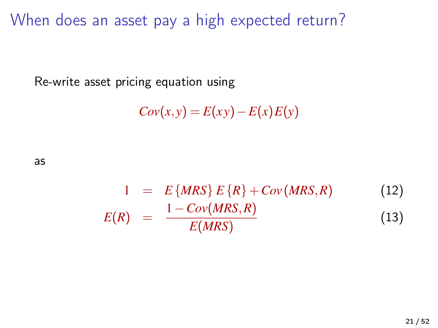When does an asset pay a high expected return?

Re-write asset pricing equation using

$$
Cov(x, y) = E(xy) - E(x)E(y)
$$

as

$$
1 = E\{MRS\} E\{R\} + Cov(MRS, R)
$$
(12)  

$$
E(R) = \frac{1 - Cov(MRS, R)}{E(MRS)}
$$
(13)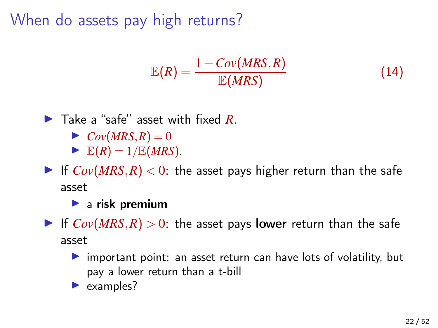When do assets pay high returns?

$$
\mathbb{E}(R) = \frac{1 - Cov(MRS, R)}{\mathbb{E}(MRS)}\tag{14}
$$

▶ Take a "safe" asset with fixed *R*.

- $\triangleright$  *Cov*(*MRS*, *R*) = 0
- $\blacktriangleright$   $\mathbb{E}(R) = 1/\mathbb{E}(MRS)$ .
- If  $Cov(MRS, R) < 0$ : the asset pays higher return than the safe asset

 $\blacktriangleright$  a risk premium

- If  $Cov(MRS, R) > 0$ : the asset pays lower return than the safe asset
	- $\triangleright$  important point: an asset return can have lots of volatility, but pay a lower return than a t-bill
	- $\blacktriangleright$  examples?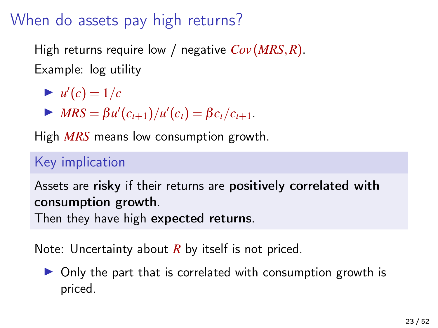# When do assets pay high returns?

High returns require low / negative *Cov* (*MRS*,*R*). Example: log utility

 $\nu'(c) = 1/c$ 

 $\blacktriangleright$  *MRS* =  $\beta u'(c_{t+1})/u'(c_t) = \beta c_t/c_{t+1}.$ 

High *MRS* means low consumption growth.

#### Key implication

Assets are risky if their returns are positively correlated with consumption growth.

Then they have high expected returns.

Note: Uncertainty about *R* by itself is not priced.

 $\triangleright$  Only the part that is correlated with consumption growth is priced.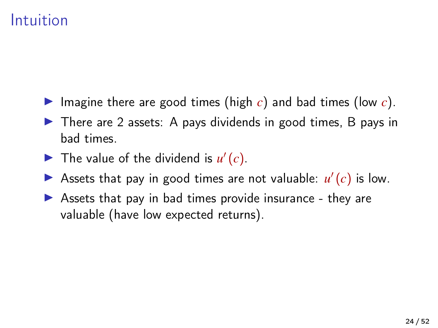## Intuition

- Imagine there are good times (high  $c$ ) and bad times (low  $c$ ).
- $\triangleright$  There are 2 assets: A pays dividends in good times, B pays in bad times.
- The value of the dividend is  $u'(c)$ .
- So Assets that pay in good times are not valuable:  $u'(c)$  is low.
- $\triangleright$  Assets that pay in bad times provide insurance they are valuable (have low expected returns).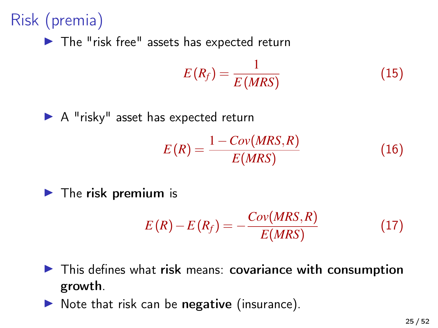# Risk (premia)

 $\blacktriangleright$  The "risk free" assets has expected return

$$
E(R_f) = \frac{1}{E(MRS)}\tag{15}
$$

 $\blacktriangleright$  A "risky" asset has expected return

$$
E(R) = \frac{1 - Cov(MRS, R)}{E(MRS)}
$$
\n(16)

 $\blacktriangleright$  The risk premium is

$$
E(R) - E(R_f) = -\frac{Cov(MRS, R)}{E(MRS)}
$$
\n(17)

- $\blacktriangleright$  This defines what risk means: covariance with consumption growth.
- $\triangleright$  Note that risk can be negative (insurance).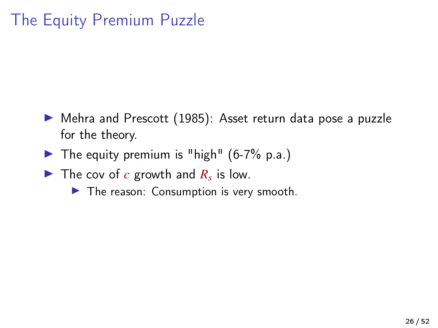# The Equity Premium Puzzle

- ▶ [Mehra and Prescott \(1985\)](#page-51-1): Asset return data pose a puzzle for the theory.
- $\blacktriangleright$  The equity premium is "high" (6-7% p.a.)
- The cov of  $c$  growth and  $R_s$  is low.
	- $\blacktriangleright$  The reason: Consumption is very smooth.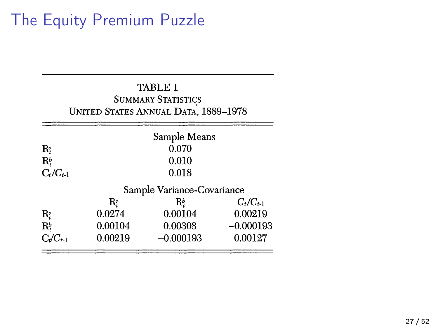# The Equity Premium Puzzle

|                      |                            | <b>TABLE 1</b><br><b>SUMMARY STATISTICS</b><br><b>UNITED STATES ANNUAL DATA, 1889-1978</b> |               |  |  |  |
|----------------------|----------------------------|--------------------------------------------------------------------------------------------|---------------|--|--|--|
|                      | Sample Means               |                                                                                            |               |  |  |  |
| Rş                   |                            | 0.070                                                                                      |               |  |  |  |
| $\mathbf{R}_{t}^{b}$ |                            | 0.010                                                                                      |               |  |  |  |
| $C_t/C_{t-1}$        |                            | 0.018                                                                                      |               |  |  |  |
|                      | Sample Variance-Covariance |                                                                                            |               |  |  |  |
|                      | $\mathbf{R}_{t}^{s}$       | $\mathbf{R}_{\cdot}^b$                                                                     | $C_t/C_{t-1}$ |  |  |  |
| $\mathbf{R}_{r}^{s}$ | 0.0274                     | 0.00104                                                                                    | 0.00219       |  |  |  |
| $\mathbf{R}_{t}^{b}$ | 0.00104                    | 0.00308                                                                                    | $-0.000193$   |  |  |  |
| $C_t/C_{t-1}$        | 0.00219                    | $-0.000193$                                                                                | 0.00127       |  |  |  |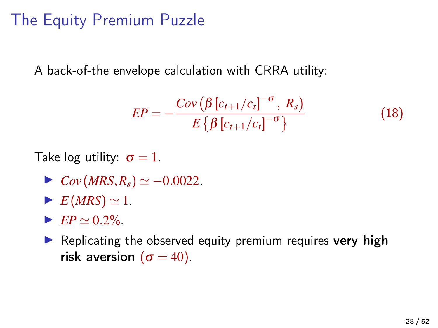# The Equity Premium Puzzle

A back-of-the envelope calculation with CRRA utility:

$$
EP = -\frac{Cov\left(\beta\left[c_{t+1}/c_t\right]^{-\sigma}, R_s\right)}{E\left\{\beta\left[c_{t+1}/c_t\right]^{-\sigma}\right\}}
$$
(18)

Take log utility:  $\sigma = 1$ .

- $\triangleright$  *Cov* (*MRS*,  $R_s$ )  $\simeq -0.0022$ .
- $\blacktriangleright$   $E(MRS) \simeq 1.$
- $\blacktriangleright$  *EP*  $\simeq$  0.2%.
- $\blacktriangleright$  Replicating the observed equity premium requires very high risk aversion  $(\sigma = 40)$ .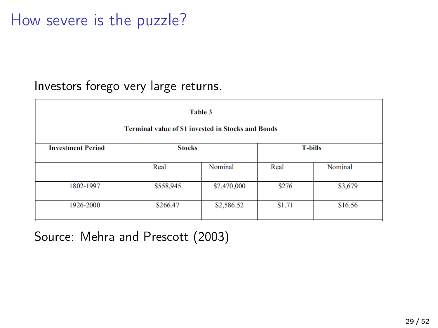## How severe is the puzzle?

#### Investors forego very large returns.

| Table 3                                                   |               |             |                |         |  |  |  |
|-----------------------------------------------------------|---------------|-------------|----------------|---------|--|--|--|
| <b>Terminal value of \$1 invested in Stocks and Bonds</b> |               |             |                |         |  |  |  |
| <b>Investment Period</b>                                  | <b>Stocks</b> |             | <b>T-bills</b> |         |  |  |  |
|                                                           | Real          | Nominal     | Real           | Nominal |  |  |  |
| 1802-1997                                                 | \$558,945     | \$7,470,000 | \$276          | \$3,679 |  |  |  |
| 1926-2000                                                 | \$266.47      | \$2,586.52  | \$1.71         | \$16.56 |  |  |  |

#### Source: [Mehra and Prescott \(2003\)](#page-51-2)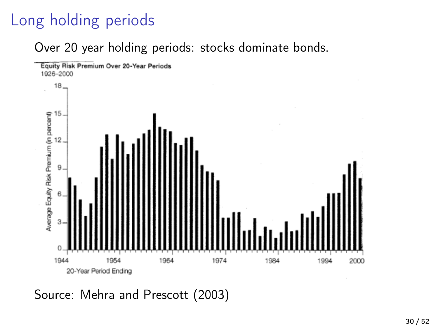# Long holding periods

Over 20 year holding periods: stocks dominate bonds.



Source: [Mehra and Prescott \(2003\)](#page-51-2)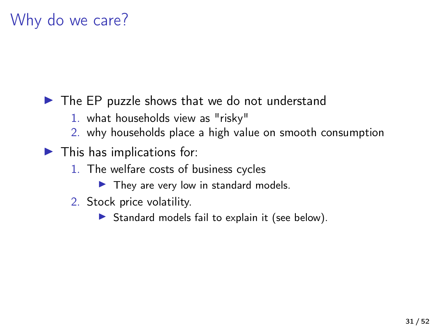# Why do we care?

 $\blacktriangleright$  The EP puzzle shows that we do not understand

- 1. what households view as "risky"
- 2. why households place a high value on smooth consumption
- $\blacktriangleright$  This has implications for:
	- 1. The welfare costs of business cycles
		- $\blacktriangleright$  They are very low in standard models.
	- 2. Stock price volatility.
		- $\triangleright$  Standard models fail to explain it (see below).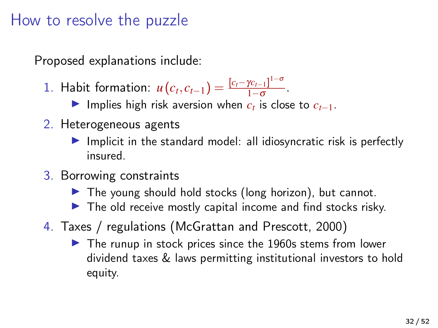#### How to resolve the puzzle

Proposed explanations include:

1. Habit formation:  $u(c_t, c_{t-1}) = \frac{[c_t - \gamma c_{t-1}]^{1-\sigma}}{1-\sigma}$  $\frac{r_{t-1}}{1-\sigma}$ .

**►** Implies high risk aversion when  $c_t$  is close to  $c_{t-1}$ .

- 2. Heterogeneous agents
	- $\blacktriangleright$  Implicit in the standard model: all idiosyncratic risk is perfectly insured.
- 3. Borrowing constraints
	- $\blacktriangleright$  The young should hold stocks (long horizon), but cannot.
	- $\triangleright$  The old receive mostly capital income and find stocks risky.
- 4. Taxes / regulations [\(McGrattan and Prescott, 2000\)](#page-51-3)
	- $\blacktriangleright$  The runup in stock prices since the 1960s stems from lower dividend taxes & laws permitting institutional investors to hold equity.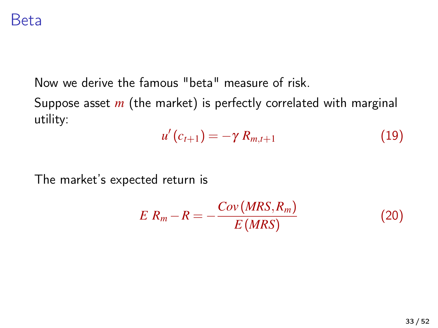Now we derive the famous "beta" measure of risk.

Suppose asset *m* (the market) is perfectly correlated with marginal utility:

$$
u'(c_{t+1})=-\gamma R_{m,t+1} \qquad (19)
$$

The market's expected return is

$$
E R_m - R = -\frac{Cov(MRS, R_m)}{E(MRS)}
$$
\n(20)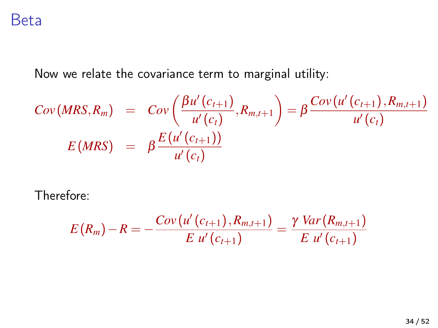Now we relate the covariance term to marginal utility:

$$
Cov(MRS, R_m) = Cov\left(\frac{\beta u'(c_{t+1})}{u'(c_t)}, R_{m,t+1}\right) = \beta \frac{Cov(u'(c_{t+1}), R_{m,t+1})}{u'(c_t)}
$$

$$
E(MRS) = \beta \frac{E(u'(c_{t+1}))}{u'(c_t)}
$$

Therefore:

$$
E(R_m) - R = -\frac{Cov(u'(c_{t+1}), R_{m,t+1})}{E u'(c_{t+1})} = \frac{\gamma Var(R_{m,t+1})}{E u'(c_{t+1})}
$$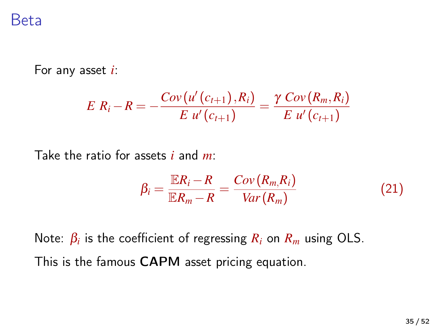For any asset *i*:

$$
E R_i - R = -\frac{Cov(u'(c_{t+1}), R_i)}{E u'(c_{t+1})} = \frac{\gamma \ Cov(R_m, R_i)}{E u'(c_{t+1})}
$$

Take the ratio for assets *i* and *m*:

$$
\beta_i = \frac{\mathbb{E}R_i - R}{\mathbb{E}R_m - R} = \frac{Cov(R_m, R_i)}{Var(R_m)}
$$
(21)

Note:  $\beta_i$  is the coefficient of regressing  $R_i$  on  $R_m$  using OLS. This is the famous CAPM asset pricing equation.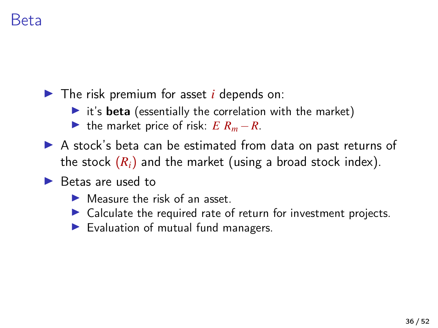$\blacktriangleright$  The risk premium for asset *i* depends on:

- $\triangleright$  it's beta (essentially the correlation with the market)
- If the market price of risk:  $E R_m R$ .
- A stock's beta can be estimated from data on past returns of the stock  $(R_i)$  and the market (using a broad stock index).

#### $\blacktriangleright$  Betas are used to

- $\blacktriangleright$  Measure the risk of an asset.
- $\triangleright$  Calculate the required rate of return for investment projects.
- $\blacktriangleright$  Evaluation of mutual fund managers.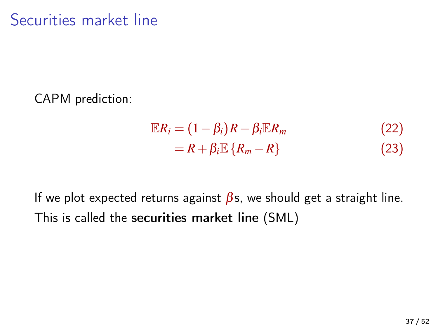CAPM prediction:

$$
\mathbb{E}R_i = (1 - \beta_i)R + \beta_i \mathbb{E}R_m
$$
  
= R + \beta\_i \mathbb{E} \{R\_m - R\} (23)

If we plot expected returns against  $\beta$ s, we should get a straight line. This is called the securities market line (SML)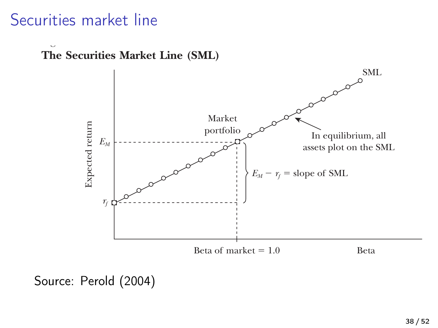#### Securities market line

*Figure 4*

**The Securities Market Line (SML)**



**Is the CAPM Useful?** Source: [Perold \(2004\)](#page-51-4)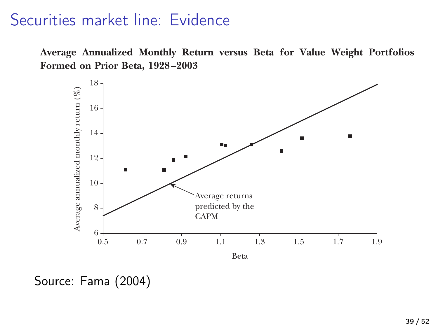#### Securities market line: Evidence

**Average Annualized Monthly Return versus Beta for Value Weight Portfolios Formed on Prior Beta, 1928 –2003**



line, with an intercept equal to the risk-free rate, *Rf*, and a slope equal to the Source: Fama (2004)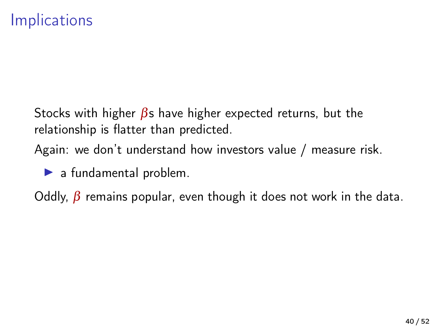Stocks with higher  $\beta$ s have higher expected returns, but the relationship is flatter than predicted.

Again: we don't understand how investors value / measure risk.

 $\blacktriangleright$  a fundamental problem.

Oddly,  $\beta$  remains popular, even though it does not work in the data.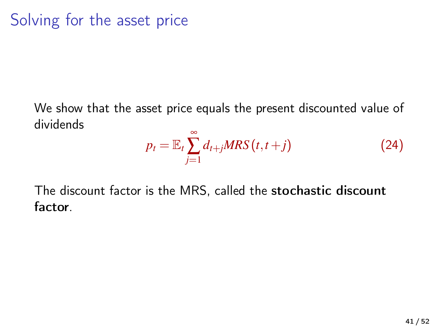We show that the asset price equals the present discounted value of dividends

$$
p_t = \mathbb{E}_t \sum_{j=1}^{\infty} d_{t+j} MRS(t, t+j)
$$
 (24)

The discount factor is the MRS, called the stochastic discount factor.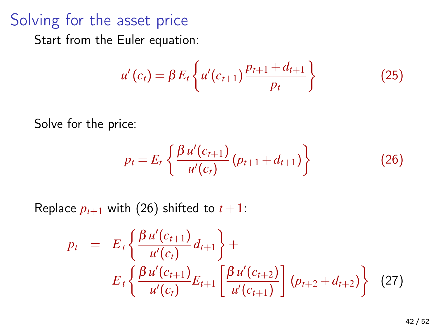#### Solving for the asset price

Start from the Euler equation:

$$
u'(c_t) = \beta E_t \left\{ u'(c_{t+1}) \frac{p_{t+1} + d_{t+1}}{p_t} \right\}
$$
 (25)

Solve for the price:

<span id="page-41-0"></span>
$$
p_t = E_t \left\{ \frac{\beta u'(c_{t+1})}{u'(c_t)} (p_{t+1} + d_{t+1}) \right\}
$$
 (26)

Replace  $p_{t+1}$  with [\(26\)](#page-41-0) shifted to  $t+1$ :

$$
p_{t} = E_{t} \left\{ \frac{\beta u'(c_{t+1})}{u'(c_{t})} d_{t+1} \right\} +
$$
  

$$
E_{t} \left\{ \frac{\beta u'(c_{t+1})}{u'(c_{t})} E_{t+1} \left[ \frac{\beta u'(c_{t+2})}{u'(c_{t+1})} \right] (p_{t+2} + d_{t+2}) \right\}
$$
(27)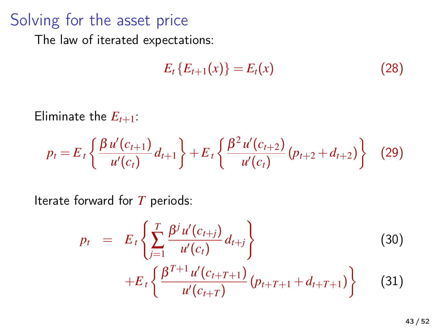## Solving for the asset price

The law of iterated expectations:

$$
E_t\{E_{t+1}(x)\} = E_t(x) \tag{28}
$$

Eliminate the  $E_{t+1}$ :

$$
p_t = E_t \left\{ \frac{\beta u'(c_{t+1})}{u'(c_t)} d_{t+1} \right\} + E_t \left\{ \frac{\beta^2 u'(c_{t+2})}{u'(c_t)} (p_{t+2} + d_{t+2}) \right\}
$$
(29)

Iterate forward for *T* periods:

$$
p_{t} = E_{t} \left\{ \sum_{j=1}^{T} \frac{\beta^{j} u'(c_{t+j})}{u'(c_{t})} d_{t+j} \right\}
$$
(30)  
+
$$
E_{t} \left\{ \frac{\beta^{T+1} u'(c_{t+T+1})}{u'(c_{t+T})} (p_{t+T+1} + d_{t+T+1}) \right\}
$$
(31)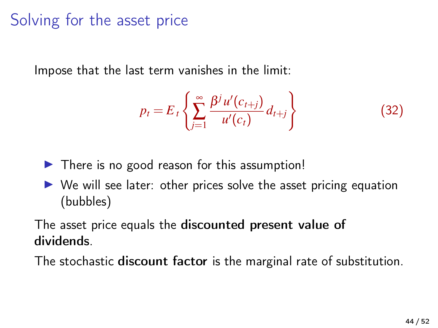# Solving for the asset price

Impose that the last term vanishes in the limit:

$$
p_t = E_t \left\{ \sum_{j=1}^{\infty} \frac{\beta^j u'(c_{t+j})}{u'(c_t)} d_{t+j} \right\}
$$
(32)

- $\triangleright$  There is no good reason for this assumption!
- $\triangleright$  We will see later: other prices solve the asset pricing equation (bubbles)

#### The asset price equals the discounted present value of dividends.

The stochastic discount factor is the marginal rate of substitution.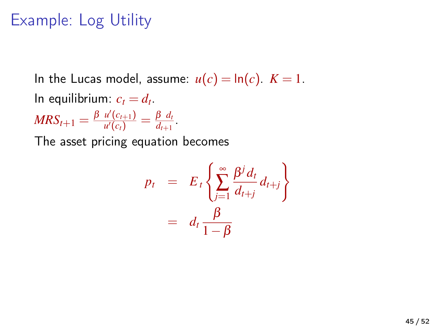# Example: Log Utility

In the Lucas model, assume:  $u(c) = \ln(c)$ .  $K = 1$ . In equilibrium:  $c_t = d_t$ .  $MRS_{t+1} = \frac{\beta u'(c_{t+1})}{u'(c_t)}$  $\frac{u'(c_{t+1})}{u'(c_t)} = \frac{\beta d_t}{d_{t+1}}$  $\frac{p \, a_t}{d_{t+1}}$ . The asset pricing equation becomes

$$
p_t = E_t \left\{ \sum_{j=1}^{\infty} \frac{\beta^j d_t}{d_{t+j}} d_{t+j} \right\}
$$
  
=  $d_t \frac{\beta}{1-\beta}$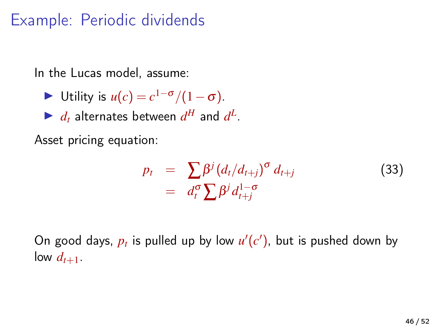# Example: Periodic dividends

In the Lucas model, assume:

- $\triangleright$  Utility is  $u(c) = c^{1-\sigma}/(1-\sigma)$ .
- $\blacktriangleright$  *d*<sub>t</sub> alternates between  $d^H$  and  $d^L$ .

Asset pricing equation:

$$
p_t = \sum_{d_t^{\sigma}} \beta^j (d_t/d_{t+j})^{\sigma} d_{t+j}
$$
\n
$$
= d_t^{\sigma} \sum_{t} \beta^j d_{t+j}^{1-\sigma}
$$
\n(33)

On good days,  $p_t$  is pulled up by low  $u'(c')$ , but is pushed down by low  $d_{t+1}$ .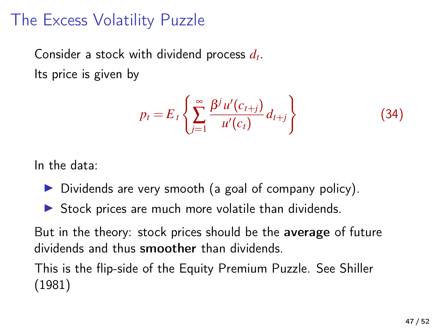## The Excess Volatility Puzzle

Consider a stock with dividend process *d<sup>t</sup>* . Its price is given by

$$
p_t = E_t \left\{ \sum_{j=1}^{\infty} \frac{\beta^j u'(c_{t+j})}{u'(c_t)} d_{t+j} \right\}
$$
 (34)

In the data:

- $\triangleright$  Dividends are very smooth (a goal of company policy).
- $\triangleright$  Stock prices are much more volatile than dividends.

But in the theory: stock prices should be the average of future dividends and thus smoother than dividends.

This is the flip-side of the Equity Premium Puzzle. See [Shiller](#page-51-5) [\(1981\)](#page-51-5)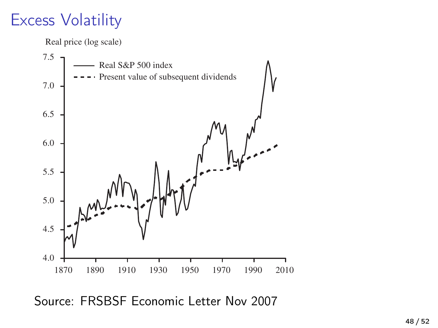#### $Excess Volatility$  $\mathbb{R}^n$ calls for more regulation once the bubble has burst **of subsequent dividends**



Source: FRSBSF Economic Letter Nov 2007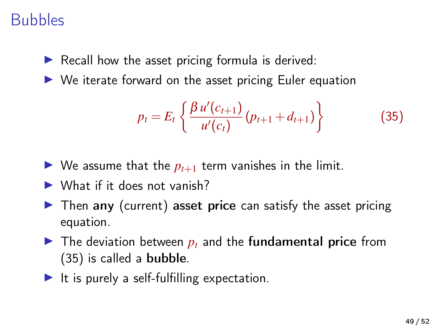## Bubbles

- $\triangleright$  Recall how the asset pricing formula is derived:
- $\triangleright$  We iterate forward on the asset pricing Euler equation

<span id="page-48-0"></span>
$$
p_t = E_t \left\{ \frac{\beta u'(c_{t+1})}{u'(c_t)} (p_{t+1} + d_{t+1}) \right\}
$$
(35)

- $\triangleright$  We assume that the  $p_{t+1}$  term vanishes in the limit.
- $\blacktriangleright$  What if it does not vanish?
- $\triangleright$  Then any (current) asset price can satisfy the asset pricing equation.
- $\blacktriangleright$  The deviation between  $p_t$  and the fundamental price from [\(35\)](#page-48-0) is called a bubble.
- $\blacktriangleright$  It is purely a self-fulfilling expectation.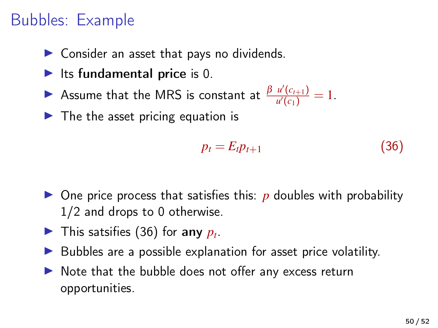# Bubbles: Example

- $\triangleright$  Consider an asset that pays no dividends.
- $\blacktriangleright$  Its fundamental price is 0.
- **►** Assume that the MRS is constant at  $\frac{\beta u'(c_{t+1})}{u'(c_1)}$  $\frac{u(c_{t+1})}{u'(c_1)} = 1.$
- $\blacktriangleright$  The the asset pricing equation is

<span id="page-49-0"></span>
$$
p_t = E_t p_{t+1} \tag{36}
$$

- $\triangleright$  One price process that satisfies this: *p* doubles with probability 1/2 and drops to 0 otherwise.
- In This satsifies [\(36\)](#page-49-0) for any  $p_t$ .
- $\triangleright$  Bubbles are a possible explanation for asset price volatility.
- $\triangleright$  Note that the bubble does not offer any excess return opportunities.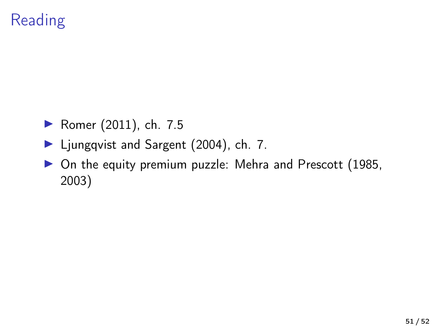# **Reading**

- ▶ [Romer \(2011\)](#page-51-6), ch. 7.5
- ▶ [Ljungqvist and Sargent \(2004\)](#page-51-7), ch. 7.
- $\triangleright$  On the equity premium puzzle: [Mehra and Prescott \(1985,](#page-51-1) [2003\)](#page-51-2)